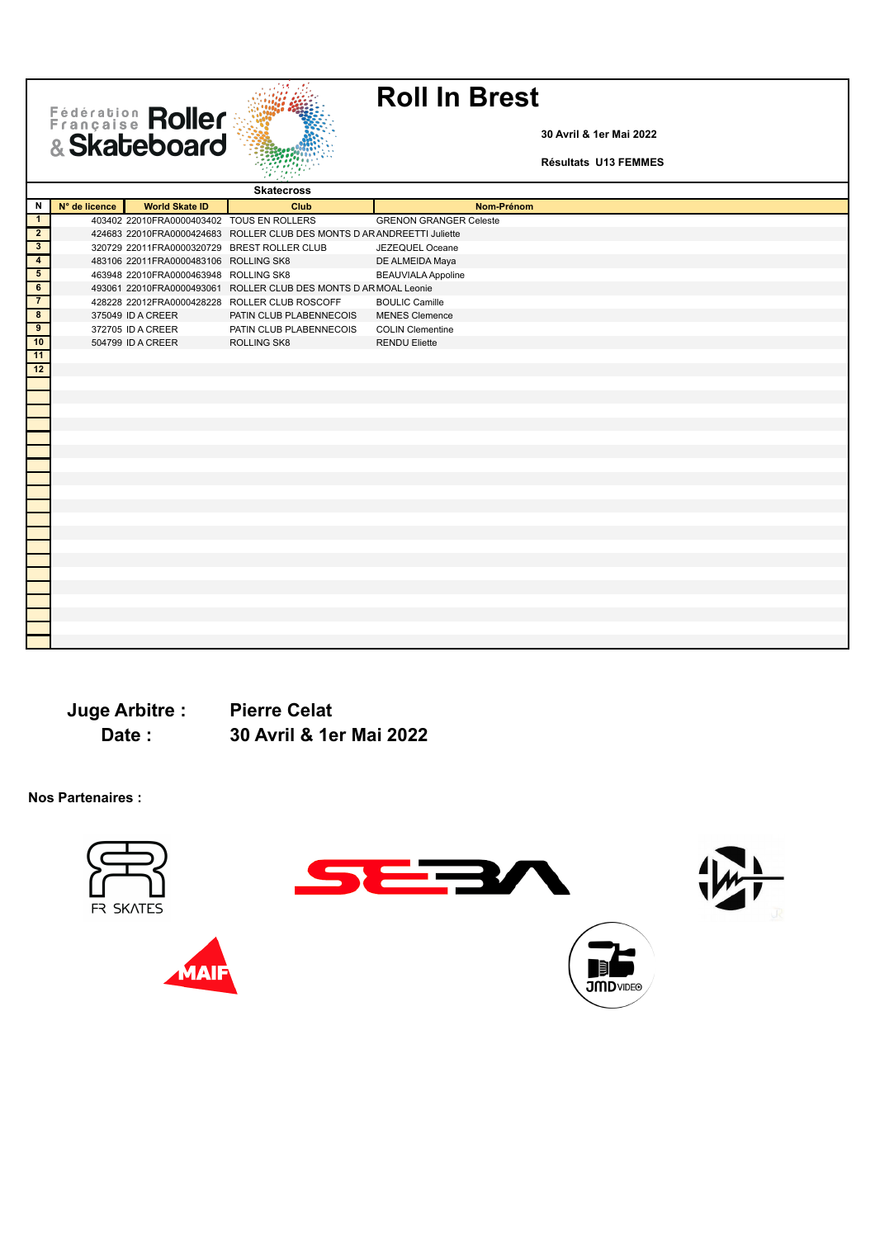Fédération Roller



**30 Avril & 1er Mai 2022**

**Résultats U13 FEMMES**

|                         |               |                                           | <b>Skatecross</b>                                                       |                               |
|-------------------------|---------------|-------------------------------------------|-------------------------------------------------------------------------|-------------------------------|
| Ν                       | N° de licence | <b>World Skate ID</b>                     | Club                                                                    | Nom-Prénom                    |
| $\mathbf{1}$            |               | 403402 22010FRA0000403402 TOUS EN ROLLERS |                                                                         | <b>GRENON GRANGER Celeste</b> |
| $\overline{2}$          |               |                                           | 424683 22010FRA0000424683 ROLLER CLUB DES MONTS D AR ANDREETTI Juliette |                               |
| $\overline{\mathbf{3}}$ |               |                                           | 320729 22011FRA0000320729 BREST ROLLER CLUB                             | JEZEQUEL Oceane               |
| $\overline{4}$          |               | 483106 22011FRA0000483106 ROLLING SK8     |                                                                         | DE ALMEIDA Maya               |
| $5\overline{)}$         |               | 463948 22010FRA0000463948 ROLLING SK8     |                                                                         | <b>BEAUVIALA Appoline</b>     |
| $\overline{6}$          |               |                                           | 493061 22010FRA0000493061 ROLLER CLUB DES MONTS D AR MOAL Leonie        |                               |
| $\overline{7}$          |               |                                           | 428228 22012FRA0000428228 ROLLER CLUB ROSCOFF                           | <b>BOULIC Camille</b>         |
| $\overline{\mathbf{8}}$ |               | 375049 ID A CREER                         | PATIN CLUB PLABENNECOIS                                                 | <b>MENES Clemence</b>         |
| $\overline{9}$          |               | 372705 ID A CREER                         | PATIN CLUB PLABENNECOIS                                                 | <b>COLIN Clementine</b>       |
| 10                      |               | 504799 ID A CREER                         | ROLLING SK8                                                             | <b>RENDU Eliette</b>          |
| 11                      |               |                                           |                                                                         |                               |
| 12                      |               |                                           |                                                                         |                               |
|                         |               |                                           |                                                                         |                               |
|                         |               |                                           |                                                                         |                               |
|                         |               |                                           |                                                                         |                               |
|                         |               |                                           |                                                                         |                               |
|                         |               |                                           |                                                                         |                               |
|                         |               |                                           |                                                                         |                               |
|                         |               |                                           |                                                                         |                               |
|                         |               |                                           |                                                                         |                               |
|                         |               |                                           |                                                                         |                               |
|                         |               |                                           |                                                                         |                               |
|                         |               |                                           |                                                                         |                               |
|                         |               |                                           |                                                                         |                               |
|                         |               |                                           |                                                                         |                               |
|                         |               |                                           |                                                                         |                               |
|                         |               |                                           |                                                                         |                               |
|                         |               |                                           |                                                                         |                               |
|                         |               |                                           |                                                                         |                               |
|                         |               |                                           |                                                                         |                               |
|                         |               |                                           |                                                                         |                               |
|                         |               |                                           |                                                                         |                               |
|                         |               |                                           |                                                                         |                               |

**Juge Arbitre : Pierre Celat Date : 30 Avril & 1er Mai 2022**

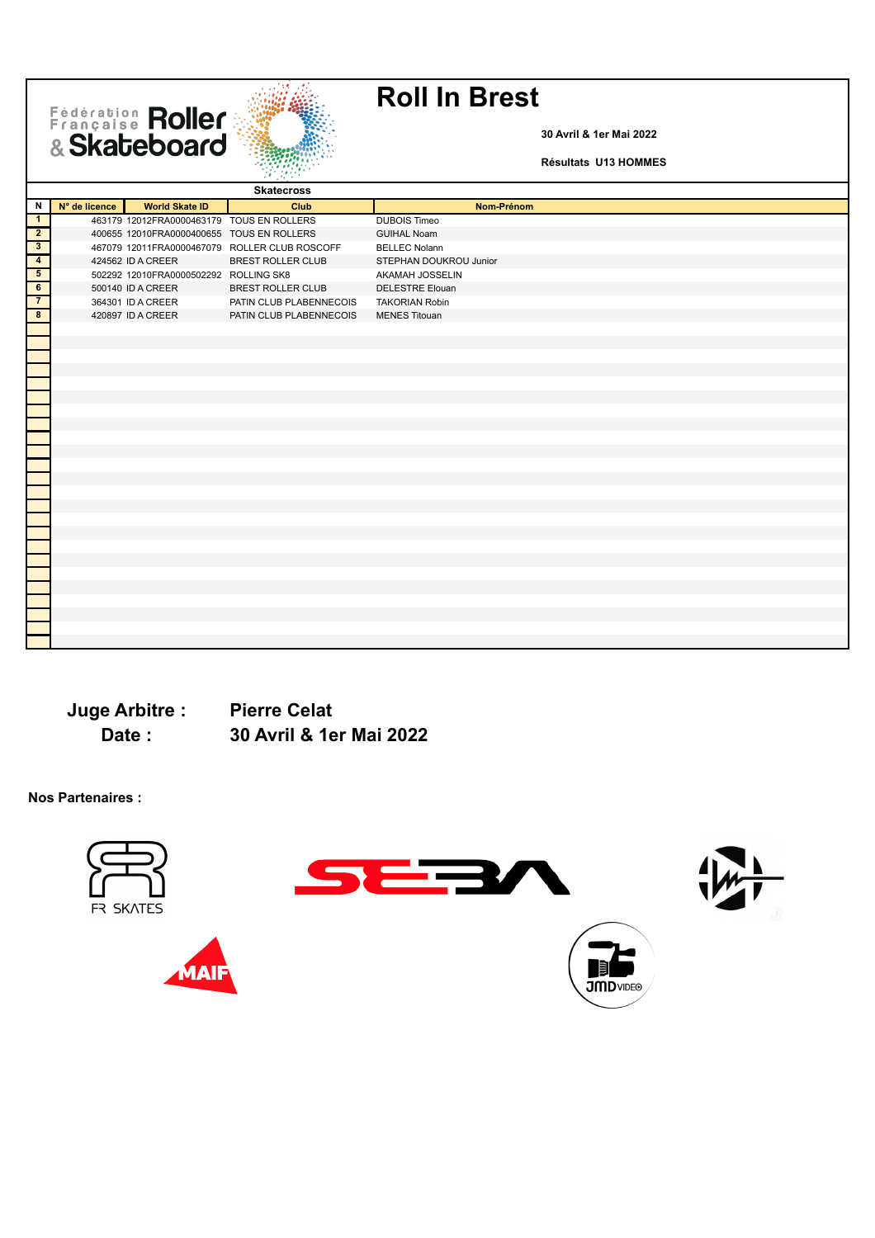Fédération Roller



**30 Avril & 1er Mai 2022**

**Résultats U13 HOMMES**

|                                                                        |               |                                           | <b>Skatecross</b>                             |                        |
|------------------------------------------------------------------------|---------------|-------------------------------------------|-----------------------------------------------|------------------------|
| N                                                                      | N° de licence | <b>World Skate ID</b>                     | Club                                          | Nom-Prénom             |
| $\overline{1}$                                                         |               | 463179 12012FRA0000463179 TOUS EN ROLLERS |                                               | <b>DUBOIS Timeo</b>    |
| $\overline{2}$                                                         |               | 400655 12010FRA0000400655 TOUS EN ROLLERS |                                               | <b>GUIHAL Noam</b>     |
| $\overline{\overline{\mathbf{3}}}$                                     |               |                                           | 467079 12011FRA0000467079 ROLLER CLUB ROSCOFF | <b>BELLEC Nolann</b>   |
| $\begin{array}{c c}\n\hline\n4 \\ \hline\n5 \\ \hline\n6\n\end{array}$ |               | 424562 ID A CREER                         | <b>BREST ROLLER CLUB</b>                      | STEPHAN DOUKROU Junior |
|                                                                        |               | 502292 12010FRA0000502292 ROLLING SK8     |                                               | AKAMAH JOSSELIN        |
|                                                                        |               | 500140 ID A CREER                         | <b>BREST ROLLER CLUB</b>                      | <b>DELESTRE Elouan</b> |
| $\overline{7}$                                                         |               | 364301 ID A CREER                         | PATIN CLUB PLABENNECOIS                       | <b>TAKORIAN Robin</b>  |
| $\overline{\mathbf{8}}$                                                |               | 420897 ID A CREER                         | PATIN CLUB PLABENNECOIS                       | <b>MENES Titouan</b>   |
|                                                                        |               |                                           |                                               |                        |
|                                                                        |               |                                           |                                               |                        |
|                                                                        |               |                                           |                                               |                        |
|                                                                        |               |                                           |                                               |                        |
|                                                                        |               |                                           |                                               |                        |
|                                                                        |               |                                           |                                               |                        |
|                                                                        |               |                                           |                                               |                        |
|                                                                        |               |                                           |                                               |                        |
|                                                                        |               |                                           |                                               |                        |
|                                                                        |               |                                           |                                               |                        |
|                                                                        |               |                                           |                                               |                        |
|                                                                        |               |                                           |                                               |                        |
|                                                                        |               |                                           |                                               |                        |
|                                                                        |               |                                           |                                               |                        |
|                                                                        |               |                                           |                                               |                        |
|                                                                        |               |                                           |                                               |                        |
|                                                                        |               |                                           |                                               |                        |
|                                                                        |               |                                           |                                               |                        |
|                                                                        |               |                                           |                                               |                        |
|                                                                        |               |                                           |                                               |                        |
|                                                                        |               |                                           |                                               |                        |
|                                                                        |               |                                           |                                               |                        |
|                                                                        |               |                                           |                                               |                        |
|                                                                        |               |                                           |                                               |                        |

**Juge Arbitre : Pierre Celat Date : 30 Avril & 1er Mai 2022**

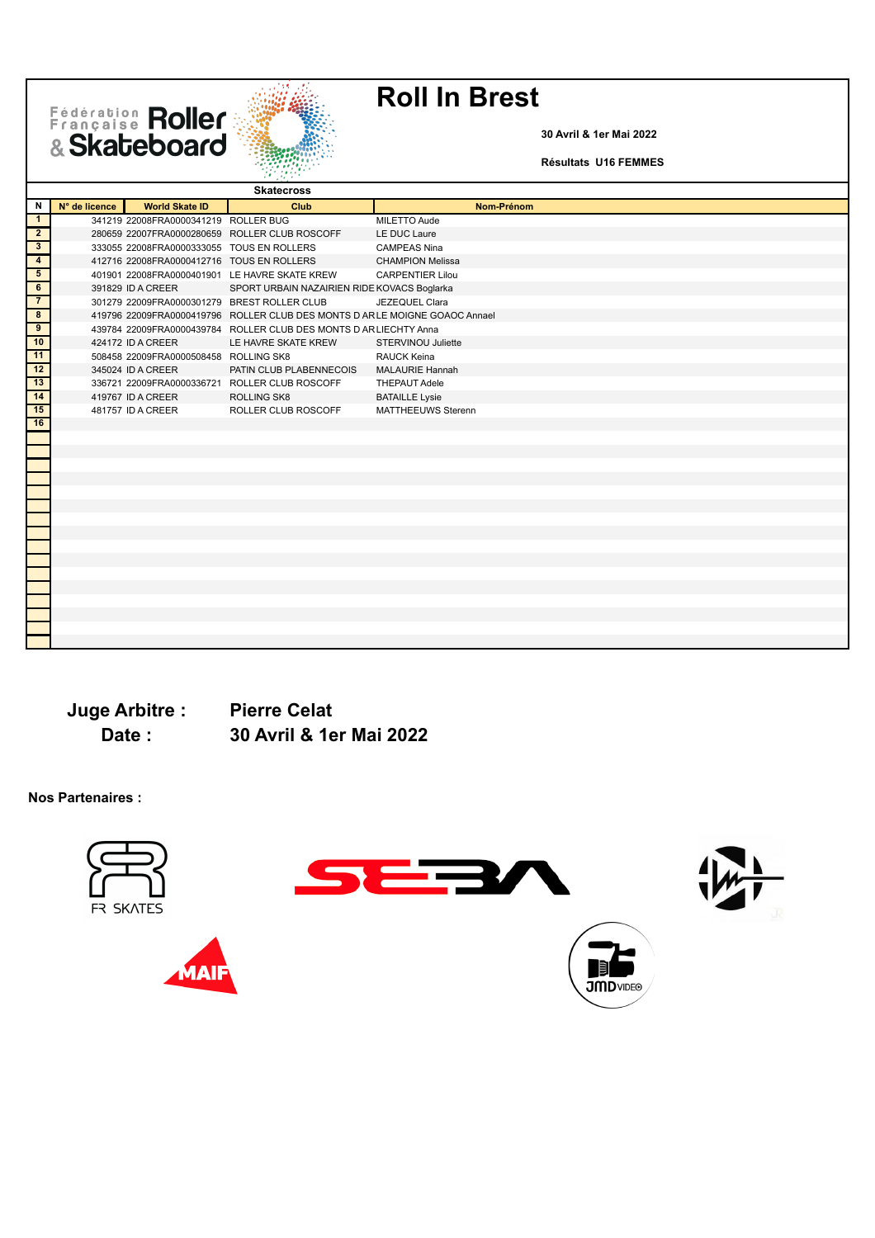Fédération Roller



**30 Avril & 1er Mai 2022**

**Résultats U16 FEMMES**

|                         |               |                                             | <b>Skatecross</b>                                                           |                           |
|-------------------------|---------------|---------------------------------------------|-----------------------------------------------------------------------------|---------------------------|
| N                       | N° de licence | <b>World Skate ID</b>                       | Club                                                                        | Nom-Prénom                |
| $\mathbf{1}$            |               | 341219 22008FRA0000341219 ROLLER BUG        |                                                                             | MILETTO Aude              |
| $\overline{2}$          |               |                                             | 280659 22007FRA0000280659 ROLLER CLUB ROSCOFF                               | LE DUC Laure              |
| $\overline{\mathbf{3}}$ |               | 333055 22008FRA0000333055 TOUS EN ROLLERS   |                                                                             | <b>CAMPEAS Nina</b>       |
| $\overline{4}$          |               | 412716 22008FRA0000412716 TOUS EN ROLLERS   |                                                                             | <b>CHAMPION Melissa</b>   |
| 5                       |               |                                             | 401901 22008FRA0000401901 LE HAVRE SKATE KREW                               | <b>CARPENTIER Lilou</b>   |
| 6                       |               | 391829 ID A CREER                           | SPORT URBAIN NAZAIRIEN RIDE KOVACS Boglarka                                 |                           |
| $\overline{7}$          |               | 301279 22009FRA0000301279 BREST ROLLER CLUB |                                                                             | JEZEQUEL Clara            |
| $\overline{\mathbf{8}}$ |               |                                             | 419796 22009FRA0000419796 ROLLER CLUB DES MONTS D AR LE MOIGNE GOAOC Annael |                           |
| $\overline{9}$          |               |                                             | 439784 22009FRA0000439784 ROLLER CLUB DES MONTS D AR LIECHTY Anna           |                           |
| 10                      |               | 424172 ID A CREER                           | LE HAVRE SKATE KREW                                                         | STERVINOU Juliette        |
| 11                      |               | 508458 22009FRA0000508458 ROLLING SK8       |                                                                             | <b>RAUCK Keina</b>        |
| 12                      |               | 345024 ID A CREER                           | PATIN CLUB PLABENNECOIS                                                     | <b>MALAURIE Hannah</b>    |
| 13                      |               |                                             | 336721 22009FRA0000336721 ROLLER CLUB ROSCOFF                               | <b>THEPAUT Adele</b>      |
| 14                      |               | 419767 ID A CREER                           | <b>ROLLING SK8</b>                                                          | <b>BATAILLE Lysie</b>     |
| 15                      |               | 481757 ID A CREER                           | ROLLER CLUB ROSCOFF                                                         | <b>MATTHEEUWS Sterenn</b> |
| 16                      |               |                                             |                                                                             |                           |
|                         |               |                                             |                                                                             |                           |
|                         |               |                                             |                                                                             |                           |
|                         |               |                                             |                                                                             |                           |
|                         |               |                                             |                                                                             |                           |
|                         |               |                                             |                                                                             |                           |
|                         |               |                                             |                                                                             |                           |
|                         |               |                                             |                                                                             |                           |
|                         |               |                                             |                                                                             |                           |
|                         |               |                                             |                                                                             |                           |
|                         |               |                                             |                                                                             |                           |
|                         |               |                                             |                                                                             |                           |
|                         |               |                                             |                                                                             |                           |
|                         |               |                                             |                                                                             |                           |
|                         |               |                                             |                                                                             |                           |
|                         |               |                                             |                                                                             |                           |
|                         |               |                                             |                                                                             |                           |
|                         |               |                                             |                                                                             |                           |

**Juge Arbitre : Pierre Celat Date : 30 Avril & 1er Mai 2022**

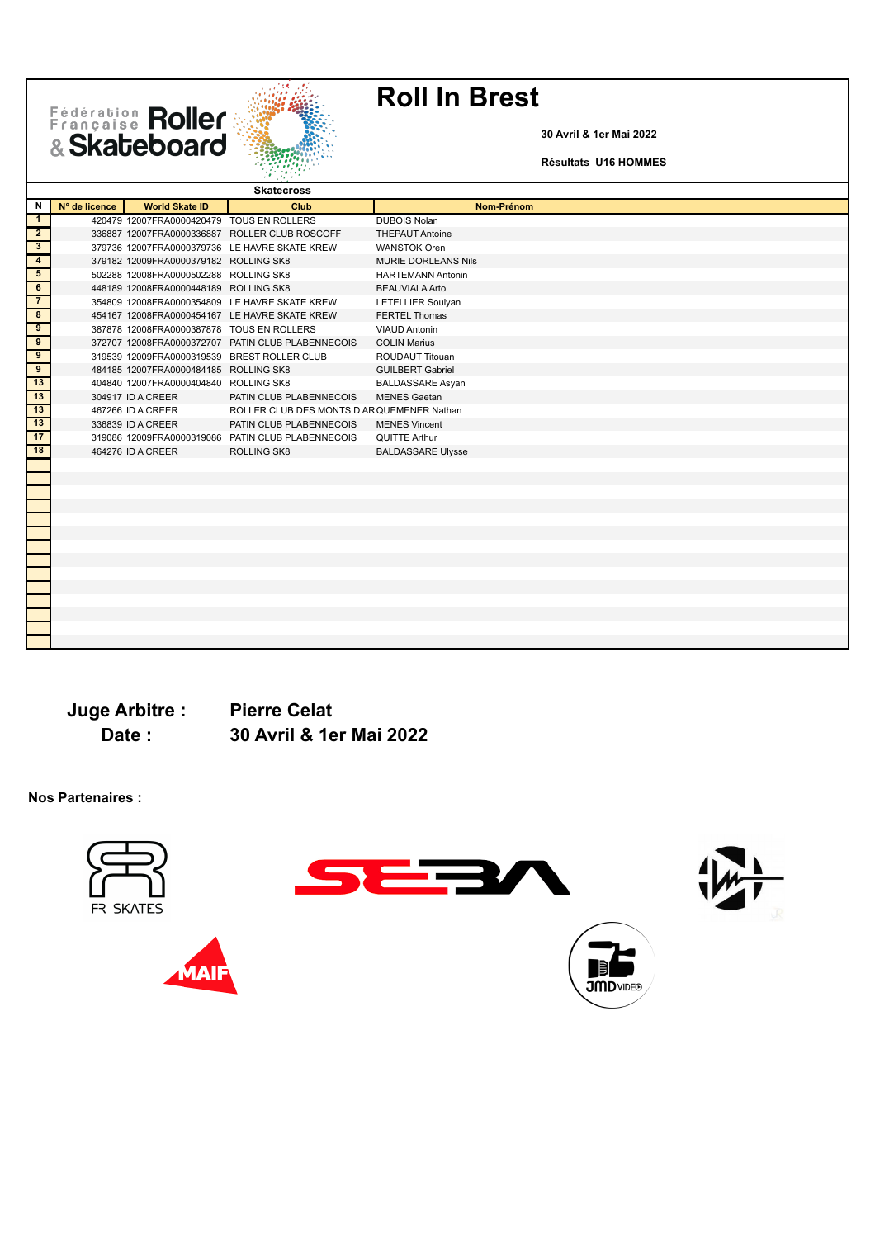Fédération Roller



**30 Avril & 1er Mai 2022**

**Résultats U16 HOMMES**

| N<br>N° de licence<br><b>World Skate ID</b><br>Club<br>Nom-Prénom<br>$\mathbf{1}$<br>420479 12007FRA0000420479 TOUS EN ROLLERS<br><b>DUBOIS Nolan</b><br>$\mathbf{2}$<br>336887 12007FRA0000336887 ROLLER CLUB ROSCOFF<br><b>THEPAUT Antoine</b><br>$3\overline{3}$<br>379736 12007FRA0000379736 LE HAVRE SKATE KREW<br><b>WANSTOK Oren</b><br>$\overline{4}$<br>379182 12009FRA0000379182 ROLLING SK8<br><b>MURIE DORLEANS Nils</b><br>$5\overline{5}$<br>502288 12008FRA0000502288 ROLLING SK8<br><b>HARTEMANN Antonin</b><br>6<br>448189 12008FRA0000448189 ROLLING SK8<br><b>BEAUVIALA Arto</b><br>7<br>354809 12008FRA0000354809 LE HAVRE SKATE KREW<br>LETELLIER Soulyan<br>8<br><b>FERTEL Thomas</b><br>454167 12008FRA0000454167 LE HAVRE SKATE KREW<br>$\overline{9}$<br>387878 12008FRA0000387878 TOUS EN ROLLERS<br><b>VIAUD Antonin</b><br>$\overline{9}$<br>372707 12008FRA0000372707 PATIN CLUB PLABENNECOIS<br><b>COLIN Marius</b><br>9<br>319539 12009FRA0000319539 BREST ROLLER CLUB<br><b>ROUDAUT Titouan</b><br>$\overline{9}$<br>484185 12007FRA0000484185 ROLLING SK8<br><b>GUILBERT Gabriel</b><br>13<br>404840 12007FRA0000404840 ROLLING SK8<br><b>BALDASSARE Asyan</b><br>13<br>304917 ID A CREER<br>PATIN CLUB PLABENNECOIS<br><b>MENES Gaetan</b><br>13<br>ROLLER CLUB DES MONTS D AR QUEMENER Nathan<br>467266 ID A CREER<br>13<br>336839 ID A CREER<br>PATIN CLUB PLABENNECOIS<br><b>MENES Vincent</b><br>17<br>319086 12009FRA0000319086 PATIN CLUB PLABENNECOIS<br>QUITTE Arthur<br>18<br>ROLLING SK8<br>464276 ID A CREER<br><b>BALDASSARE Ulysse</b> |  | <b>Skatecross</b> |  |
|---------------------------------------------------------------------------------------------------------------------------------------------------------------------------------------------------------------------------------------------------------------------------------------------------------------------------------------------------------------------------------------------------------------------------------------------------------------------------------------------------------------------------------------------------------------------------------------------------------------------------------------------------------------------------------------------------------------------------------------------------------------------------------------------------------------------------------------------------------------------------------------------------------------------------------------------------------------------------------------------------------------------------------------------------------------------------------------------------------------------------------------------------------------------------------------------------------------------------------------------------------------------------------------------------------------------------------------------------------------------------------------------------------------------------------------------------------------------------------------------------------------------------------------------------------------------------------------|--|-------------------|--|
|                                                                                                                                                                                                                                                                                                                                                                                                                                                                                                                                                                                                                                                                                                                                                                                                                                                                                                                                                                                                                                                                                                                                                                                                                                                                                                                                                                                                                                                                                                                                                                                       |  |                   |  |
|                                                                                                                                                                                                                                                                                                                                                                                                                                                                                                                                                                                                                                                                                                                                                                                                                                                                                                                                                                                                                                                                                                                                                                                                                                                                                                                                                                                                                                                                                                                                                                                       |  |                   |  |
|                                                                                                                                                                                                                                                                                                                                                                                                                                                                                                                                                                                                                                                                                                                                                                                                                                                                                                                                                                                                                                                                                                                                                                                                                                                                                                                                                                                                                                                                                                                                                                                       |  |                   |  |
|                                                                                                                                                                                                                                                                                                                                                                                                                                                                                                                                                                                                                                                                                                                                                                                                                                                                                                                                                                                                                                                                                                                                                                                                                                                                                                                                                                                                                                                                                                                                                                                       |  |                   |  |
|                                                                                                                                                                                                                                                                                                                                                                                                                                                                                                                                                                                                                                                                                                                                                                                                                                                                                                                                                                                                                                                                                                                                                                                                                                                                                                                                                                                                                                                                                                                                                                                       |  |                   |  |
|                                                                                                                                                                                                                                                                                                                                                                                                                                                                                                                                                                                                                                                                                                                                                                                                                                                                                                                                                                                                                                                                                                                                                                                                                                                                                                                                                                                                                                                                                                                                                                                       |  |                   |  |
|                                                                                                                                                                                                                                                                                                                                                                                                                                                                                                                                                                                                                                                                                                                                                                                                                                                                                                                                                                                                                                                                                                                                                                                                                                                                                                                                                                                                                                                                                                                                                                                       |  |                   |  |
|                                                                                                                                                                                                                                                                                                                                                                                                                                                                                                                                                                                                                                                                                                                                                                                                                                                                                                                                                                                                                                                                                                                                                                                                                                                                                                                                                                                                                                                                                                                                                                                       |  |                   |  |
|                                                                                                                                                                                                                                                                                                                                                                                                                                                                                                                                                                                                                                                                                                                                                                                                                                                                                                                                                                                                                                                                                                                                                                                                                                                                                                                                                                                                                                                                                                                                                                                       |  |                   |  |
|                                                                                                                                                                                                                                                                                                                                                                                                                                                                                                                                                                                                                                                                                                                                                                                                                                                                                                                                                                                                                                                                                                                                                                                                                                                                                                                                                                                                                                                                                                                                                                                       |  |                   |  |
|                                                                                                                                                                                                                                                                                                                                                                                                                                                                                                                                                                                                                                                                                                                                                                                                                                                                                                                                                                                                                                                                                                                                                                                                                                                                                                                                                                                                                                                                                                                                                                                       |  |                   |  |
|                                                                                                                                                                                                                                                                                                                                                                                                                                                                                                                                                                                                                                                                                                                                                                                                                                                                                                                                                                                                                                                                                                                                                                                                                                                                                                                                                                                                                                                                                                                                                                                       |  |                   |  |
|                                                                                                                                                                                                                                                                                                                                                                                                                                                                                                                                                                                                                                                                                                                                                                                                                                                                                                                                                                                                                                                                                                                                                                                                                                                                                                                                                                                                                                                                                                                                                                                       |  |                   |  |
|                                                                                                                                                                                                                                                                                                                                                                                                                                                                                                                                                                                                                                                                                                                                                                                                                                                                                                                                                                                                                                                                                                                                                                                                                                                                                                                                                                                                                                                                                                                                                                                       |  |                   |  |
|                                                                                                                                                                                                                                                                                                                                                                                                                                                                                                                                                                                                                                                                                                                                                                                                                                                                                                                                                                                                                                                                                                                                                                                                                                                                                                                                                                                                                                                                                                                                                                                       |  |                   |  |
|                                                                                                                                                                                                                                                                                                                                                                                                                                                                                                                                                                                                                                                                                                                                                                                                                                                                                                                                                                                                                                                                                                                                                                                                                                                                                                                                                                                                                                                                                                                                                                                       |  |                   |  |
|                                                                                                                                                                                                                                                                                                                                                                                                                                                                                                                                                                                                                                                                                                                                                                                                                                                                                                                                                                                                                                                                                                                                                                                                                                                                                                                                                                                                                                                                                                                                                                                       |  |                   |  |
|                                                                                                                                                                                                                                                                                                                                                                                                                                                                                                                                                                                                                                                                                                                                                                                                                                                                                                                                                                                                                                                                                                                                                                                                                                                                                                                                                                                                                                                                                                                                                                                       |  |                   |  |
|                                                                                                                                                                                                                                                                                                                                                                                                                                                                                                                                                                                                                                                                                                                                                                                                                                                                                                                                                                                                                                                                                                                                                                                                                                                                                                                                                                                                                                                                                                                                                                                       |  |                   |  |
|                                                                                                                                                                                                                                                                                                                                                                                                                                                                                                                                                                                                                                                                                                                                                                                                                                                                                                                                                                                                                                                                                                                                                                                                                                                                                                                                                                                                                                                                                                                                                                                       |  |                   |  |
|                                                                                                                                                                                                                                                                                                                                                                                                                                                                                                                                                                                                                                                                                                                                                                                                                                                                                                                                                                                                                                                                                                                                                                                                                                                                                                                                                                                                                                                                                                                                                                                       |  |                   |  |
|                                                                                                                                                                                                                                                                                                                                                                                                                                                                                                                                                                                                                                                                                                                                                                                                                                                                                                                                                                                                                                                                                                                                                                                                                                                                                                                                                                                                                                                                                                                                                                                       |  |                   |  |
|                                                                                                                                                                                                                                                                                                                                                                                                                                                                                                                                                                                                                                                                                                                                                                                                                                                                                                                                                                                                                                                                                                                                                                                                                                                                                                                                                                                                                                                                                                                                                                                       |  |                   |  |
|                                                                                                                                                                                                                                                                                                                                                                                                                                                                                                                                                                                                                                                                                                                                                                                                                                                                                                                                                                                                                                                                                                                                                                                                                                                                                                                                                                                                                                                                                                                                                                                       |  |                   |  |
|                                                                                                                                                                                                                                                                                                                                                                                                                                                                                                                                                                                                                                                                                                                                                                                                                                                                                                                                                                                                                                                                                                                                                                                                                                                                                                                                                                                                                                                                                                                                                                                       |  |                   |  |
|                                                                                                                                                                                                                                                                                                                                                                                                                                                                                                                                                                                                                                                                                                                                                                                                                                                                                                                                                                                                                                                                                                                                                                                                                                                                                                                                                                                                                                                                                                                                                                                       |  |                   |  |
|                                                                                                                                                                                                                                                                                                                                                                                                                                                                                                                                                                                                                                                                                                                                                                                                                                                                                                                                                                                                                                                                                                                                                                                                                                                                                                                                                                                                                                                                                                                                                                                       |  |                   |  |
|                                                                                                                                                                                                                                                                                                                                                                                                                                                                                                                                                                                                                                                                                                                                                                                                                                                                                                                                                                                                                                                                                                                                                                                                                                                                                                                                                                                                                                                                                                                                                                                       |  |                   |  |
|                                                                                                                                                                                                                                                                                                                                                                                                                                                                                                                                                                                                                                                                                                                                                                                                                                                                                                                                                                                                                                                                                                                                                                                                                                                                                                                                                                                                                                                                                                                                                                                       |  |                   |  |
|                                                                                                                                                                                                                                                                                                                                                                                                                                                                                                                                                                                                                                                                                                                                                                                                                                                                                                                                                                                                                                                                                                                                                                                                                                                                                                                                                                                                                                                                                                                                                                                       |  |                   |  |
|                                                                                                                                                                                                                                                                                                                                                                                                                                                                                                                                                                                                                                                                                                                                                                                                                                                                                                                                                                                                                                                                                                                                                                                                                                                                                                                                                                                                                                                                                                                                                                                       |  |                   |  |
|                                                                                                                                                                                                                                                                                                                                                                                                                                                                                                                                                                                                                                                                                                                                                                                                                                                                                                                                                                                                                                                                                                                                                                                                                                                                                                                                                                                                                                                                                                                                                                                       |  |                   |  |
|                                                                                                                                                                                                                                                                                                                                                                                                                                                                                                                                                                                                                                                                                                                                                                                                                                                                                                                                                                                                                                                                                                                                                                                                                                                                                                                                                                                                                                                                                                                                                                                       |  |                   |  |

**Juge Arbitre : Pierre Celat**

**Date : 30 Avril & 1er Mai 2022**

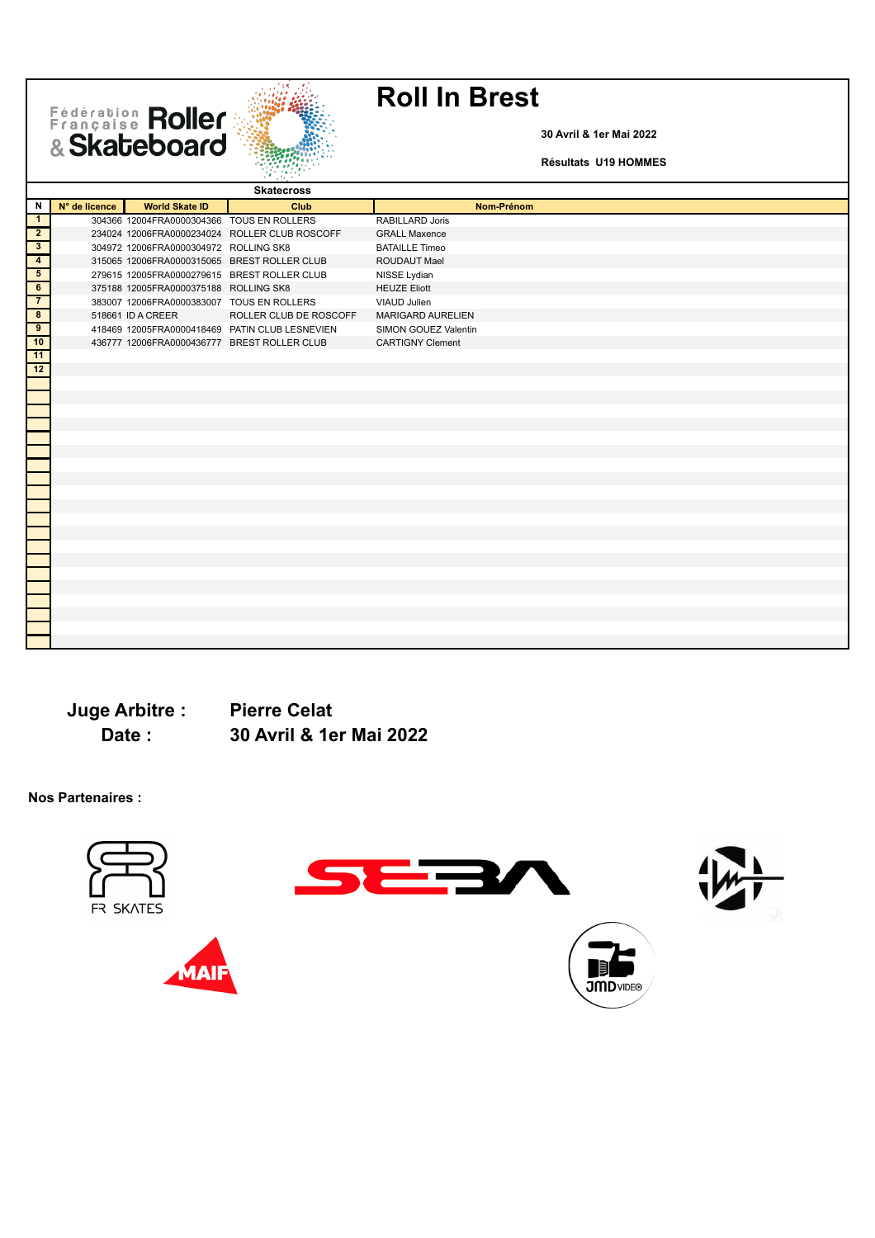Fédération Roller



**30 Avril & 1er Mai 2022**

**Résultats U19 HOMMES**

|                              |               |                                           | <b>Skatecross</b>                              |                          |
|------------------------------|---------------|-------------------------------------------|------------------------------------------------|--------------------------|
| N                            | N° de licence | <b>World Skate ID</b>                     | Club                                           | Nom-Prénom               |
| $\overline{1}$               |               | 304366 12004FRA0000304366 TOUS EN ROLLERS |                                                | RABILLARD Joris          |
| $\overline{2}$               |               |                                           | 234024 12006FRA0000234024 ROLLER CLUB ROSCOFF  | <b>GRALL Maxence</b>     |
| H<br>$\overline{\mathbf{3}}$ |               | 304972 12006FRA0000304972 ROLLING SK8     |                                                | <b>BATAILLE Timeo</b>    |
| $\overline{4}$               |               |                                           | 315065 12006FRA0000315065 BREST ROLLER CLUB    | <b>ROUDAUT Mael</b>      |
| $\overline{5}$               |               |                                           | 279615 12005FRA0000279615 BREST ROLLER CLUB    | NISSE Lydian             |
| $\overline{6}$               |               | 375188 12005FRA0000375188 ROLLING SK8     |                                                | <b>HEUZE Eliott</b>      |
| $\overline{7}$               |               | 383007 12006FRA0000383007 TOUS EN ROLLERS |                                                | VIAUD Julien             |
| $\overline{\mathbf{8}}$      |               | 518661 ID A CREER                         | ROLLER CLUB DE ROSCOFF                         | <b>MARIGARD AURELIEN</b> |
| $\overline{9}$               |               |                                           | 418469 12005FRA0000418469 PATIN CLUB LESNEVIEN | SIMON GOUEZ Valentin     |
| 10                           |               |                                           | 436777 12006FRA0000436777 BREST ROLLER CLUB    | <b>CARTIGNY Clement</b>  |
| $\frac{1}{11}$               |               |                                           |                                                |                          |
| $\frac{1}{12}$               |               |                                           |                                                |                          |
|                              |               |                                           |                                                |                          |
|                              |               |                                           |                                                |                          |
|                              |               |                                           |                                                |                          |
|                              |               |                                           |                                                |                          |
|                              |               |                                           |                                                |                          |
|                              |               |                                           |                                                |                          |
|                              |               |                                           |                                                |                          |
|                              |               |                                           |                                                |                          |
|                              |               |                                           |                                                |                          |
|                              |               |                                           |                                                |                          |
|                              |               |                                           |                                                |                          |
|                              |               |                                           |                                                |                          |
|                              |               |                                           |                                                |                          |
|                              |               |                                           |                                                |                          |
|                              |               |                                           |                                                |                          |
|                              |               |                                           |                                                |                          |
|                              |               |                                           |                                                |                          |
|                              |               |                                           |                                                |                          |
|                              |               |                                           |                                                |                          |
|                              |               |                                           |                                                |                          |
|                              |               |                                           |                                                |                          |

**Juge Arbitre : Pierre Celat**

**Date : 30 Avril & 1er Mai 2022**

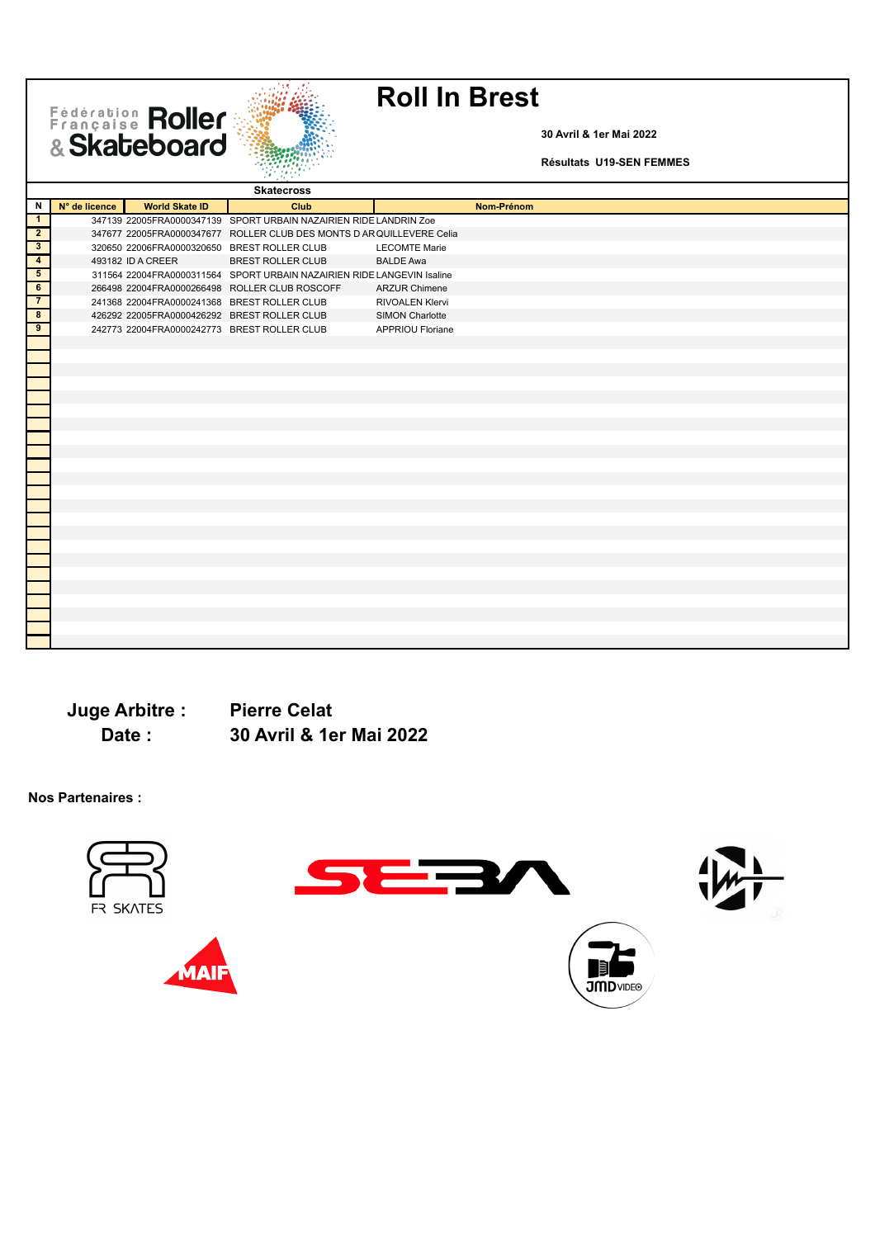Fédération Roller



**30 Avril & 1er Mai 2022**

**Résultats U19-SEN FEMMES**

| Ν<br>N° de licence<br><b>World Skate ID</b><br>Nom-Prénom<br>Club<br>347139 22005FRA0000347139 SPORT URBAIN NAZAIRIEN RIDE LANDRIN Zoe<br>$\mathbf{1}$<br>$\overline{2}$<br>347677 22005FRA0000347677 ROLLER CLUB DES MONTS D AR QUILLEVERE Celia<br>$\overline{\mathbf{3}}$<br>320650 22006FRA0000320650 BREST ROLLER CLUB<br><b>LECOMTE Marie</b><br>$\overline{4}$<br><b>BREST ROLLER CLUB</b><br>493182 ID A CREER<br><b>BALDE Awa</b><br>$5\overline{)}$<br>311564 22004FRA0000311564 SPORT URBAIN NAZAIRIEN RIDE LANGEVIN Isaline<br>6<br>266498 22004FRA0000266498 ROLLER CLUB ROSCOFF<br><b>ARZUR Chimene</b><br>241368 22004FRA0000241368 BREST ROLLER CLUB<br><b>RIVOALEN Klervi</b><br>$\overline{\mathbf{8}}$<br>426292 22005FRA0000426292 BREST ROLLER CLUB<br><b>SIMON Charlotte</b><br>$\overline{9}$<br>242773 22004FRA0000242773 BREST ROLLER CLUB<br><b>APPRIOU Floriane</b> |  | <b>Skatecross</b> |  |
|------------------------------------------------------------------------------------------------------------------------------------------------------------------------------------------------------------------------------------------------------------------------------------------------------------------------------------------------------------------------------------------------------------------------------------------------------------------------------------------------------------------------------------------------------------------------------------------------------------------------------------------------------------------------------------------------------------------------------------------------------------------------------------------------------------------------------------------------------------------------------------------------|--|-------------------|--|
|                                                                                                                                                                                                                                                                                                                                                                                                                                                                                                                                                                                                                                                                                                                                                                                                                                                                                                |  |                   |  |
|                                                                                                                                                                                                                                                                                                                                                                                                                                                                                                                                                                                                                                                                                                                                                                                                                                                                                                |  |                   |  |
|                                                                                                                                                                                                                                                                                                                                                                                                                                                                                                                                                                                                                                                                                                                                                                                                                                                                                                |  |                   |  |
|                                                                                                                                                                                                                                                                                                                                                                                                                                                                                                                                                                                                                                                                                                                                                                                                                                                                                                |  |                   |  |
|                                                                                                                                                                                                                                                                                                                                                                                                                                                                                                                                                                                                                                                                                                                                                                                                                                                                                                |  |                   |  |
|                                                                                                                                                                                                                                                                                                                                                                                                                                                                                                                                                                                                                                                                                                                                                                                                                                                                                                |  |                   |  |
|                                                                                                                                                                                                                                                                                                                                                                                                                                                                                                                                                                                                                                                                                                                                                                                                                                                                                                |  |                   |  |
|                                                                                                                                                                                                                                                                                                                                                                                                                                                                                                                                                                                                                                                                                                                                                                                                                                                                                                |  |                   |  |
|                                                                                                                                                                                                                                                                                                                                                                                                                                                                                                                                                                                                                                                                                                                                                                                                                                                                                                |  |                   |  |
|                                                                                                                                                                                                                                                                                                                                                                                                                                                                                                                                                                                                                                                                                                                                                                                                                                                                                                |  |                   |  |
|                                                                                                                                                                                                                                                                                                                                                                                                                                                                                                                                                                                                                                                                                                                                                                                                                                                                                                |  |                   |  |
|                                                                                                                                                                                                                                                                                                                                                                                                                                                                                                                                                                                                                                                                                                                                                                                                                                                                                                |  |                   |  |
|                                                                                                                                                                                                                                                                                                                                                                                                                                                                                                                                                                                                                                                                                                                                                                                                                                                                                                |  |                   |  |
|                                                                                                                                                                                                                                                                                                                                                                                                                                                                                                                                                                                                                                                                                                                                                                                                                                                                                                |  |                   |  |
|                                                                                                                                                                                                                                                                                                                                                                                                                                                                                                                                                                                                                                                                                                                                                                                                                                                                                                |  |                   |  |
|                                                                                                                                                                                                                                                                                                                                                                                                                                                                                                                                                                                                                                                                                                                                                                                                                                                                                                |  |                   |  |
|                                                                                                                                                                                                                                                                                                                                                                                                                                                                                                                                                                                                                                                                                                                                                                                                                                                                                                |  |                   |  |
|                                                                                                                                                                                                                                                                                                                                                                                                                                                                                                                                                                                                                                                                                                                                                                                                                                                                                                |  |                   |  |
|                                                                                                                                                                                                                                                                                                                                                                                                                                                                                                                                                                                                                                                                                                                                                                                                                                                                                                |  |                   |  |
|                                                                                                                                                                                                                                                                                                                                                                                                                                                                                                                                                                                                                                                                                                                                                                                                                                                                                                |  |                   |  |
|                                                                                                                                                                                                                                                                                                                                                                                                                                                                                                                                                                                                                                                                                                                                                                                                                                                                                                |  |                   |  |
|                                                                                                                                                                                                                                                                                                                                                                                                                                                                                                                                                                                                                                                                                                                                                                                                                                                                                                |  |                   |  |
|                                                                                                                                                                                                                                                                                                                                                                                                                                                                                                                                                                                                                                                                                                                                                                                                                                                                                                |  |                   |  |
|                                                                                                                                                                                                                                                                                                                                                                                                                                                                                                                                                                                                                                                                                                                                                                                                                                                                                                |  |                   |  |
|                                                                                                                                                                                                                                                                                                                                                                                                                                                                                                                                                                                                                                                                                                                                                                                                                                                                                                |  |                   |  |
|                                                                                                                                                                                                                                                                                                                                                                                                                                                                                                                                                                                                                                                                                                                                                                                                                                                                                                |  |                   |  |
|                                                                                                                                                                                                                                                                                                                                                                                                                                                                                                                                                                                                                                                                                                                                                                                                                                                                                                |  |                   |  |
|                                                                                                                                                                                                                                                                                                                                                                                                                                                                                                                                                                                                                                                                                                                                                                                                                                                                                                |  |                   |  |
|                                                                                                                                                                                                                                                                                                                                                                                                                                                                                                                                                                                                                                                                                                                                                                                                                                                                                                |  |                   |  |
|                                                                                                                                                                                                                                                                                                                                                                                                                                                                                                                                                                                                                                                                                                                                                                                                                                                                                                |  |                   |  |
|                                                                                                                                                                                                                                                                                                                                                                                                                                                                                                                                                                                                                                                                                                                                                                                                                                                                                                |  |                   |  |
|                                                                                                                                                                                                                                                                                                                                                                                                                                                                                                                                                                                                                                                                                                                                                                                                                                                                                                |  |                   |  |
|                                                                                                                                                                                                                                                                                                                                                                                                                                                                                                                                                                                                                                                                                                                                                                                                                                                                                                |  |                   |  |

**Juge Arbitre : Pierre Celat Date : 30 Avril & 1er Mai 2022**